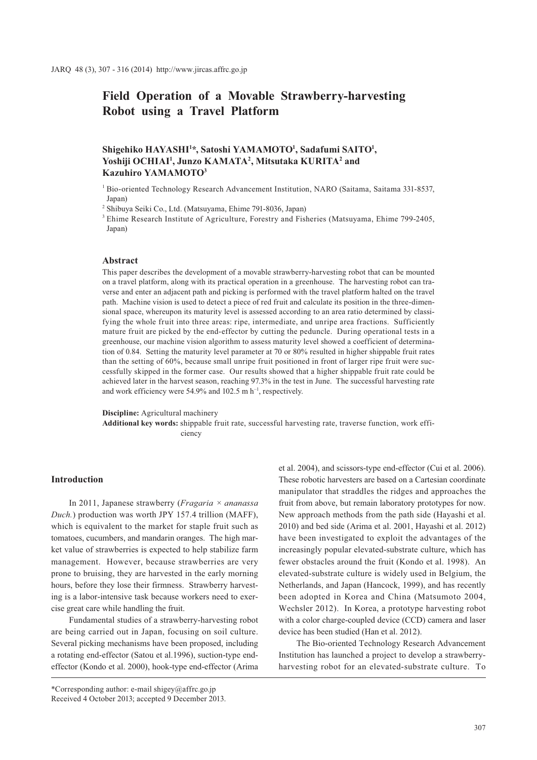# **Field Operation of a Movable Strawberry-harvesting Robot using a Travel Platform**

# $\boldsymbol{\delta}$ Shigehiko HAYASHI<sup>1</sup>\*, Satoshi YAMAMOTO<sup>1</sup>, Sadafumi SAITO<sup>1</sup>, **Yoshiji OCHIAI1 , Junzo KAMATA2 , Mitsutaka KURITA2 and Kazuhiro YAMAMOTO3**

<sup>1</sup> Bio-oriented Technology Research Advancement Institution, NARO (Saitama, Saitama 331-8537, Japan)

2 Shibuya Seiki Co., Ltd. (Matsuyama, Ehime 791-8036, Japan)

<sup>3</sup> Ehime Research Institute of Agriculture, Forestry and Fisheries (Matsuyama, Ehime 799-2405, Japan)

#### **Abstract**

This paper describes the development of a movable strawberry-harvesting robot that can be mounted on a travel platform, along with its practical operation in a greenhouse. The harvesting robot can traverse and enter an adjacent path and picking is performed with the travel platform halted on the travel path. Machine vision is used to detect a piece of red fruit and calculate its position in the three-dimensional space, whereupon its maturity level is assessed according to an area ratio determined by classifying the whole fruit into three areas: ripe, intermediate, and unripe area fractions. Sufficiently mature fruit are picked by the end-effector by cutting the peduncle. During operational tests in a greenhouse, our machine vision algorithm to assess maturity level showed a coefficient of determination of 0.84. Setting the maturity level parameter at 70 or 80% resulted in higher shippable fruit rates than the setting of 60%, because small unripe fruit positioned in front of larger ripe fruit were successfully skipped in the former case. Our results showed that a higher shippable fruit rate could be achieved later in the harvest season, reaching 97.3% in the test in June. The successful harvesting rate and work efficiency were 54.9% and 102.5 m  $h^{-1}$ , respectively.

#### **Discipline:** Agricultural machinery

**Additional key words:** shippable fruit rate, successful harvesting rate, traverse function, work efficiency

# **Introduction**

In 2011, Japanese strawberry (*Fragaria × ananassa Duch.*) production was worth JPY 157.4 trillion (MAFF), which is equivalent to the market for staple fruit such as tomatoes, cucumbers, and mandarin oranges. The high market value of strawberries is expected to help stabilize farm management. However, because strawberries are very prone to bruising, they are harvested in the early morning hours, before they lose their firmness. Strawberry harvesting is a labor-intensive task because workers need to exercise great care while handling the fruit.

Fundamental studies of a strawberry-harvesting robot are being carried out in Japan, focusing on soil culture. Several picking mechanisms have been proposed, including a rotating end-effector (Satou et al.1996), suction-type endeffector (Kondo et al. 2000), hook-type end-effector (Arima

\*Corresponding author: e-mail shigey@affrc.go.jp Received 4 October 2013; accepted 9 December 2013.

et al. 2004), and scissors-type end-effector (Cui et al. 2006). These robotic harvesters are based on a Cartesian coordinate manipulator that straddles the ridges and approaches the fruit from above, but remain laboratory prototypes for now. New approach methods from the path side (Hayashi et al. 2010) and bed side (Arima et al. 2001, Hayashi et al. 2012) have been investigated to exploit the advantages of the increasingly popular elevated-substrate culture, which has fewer obstacles around the fruit (Kondo et al. 1998). An elevated-substrate culture is widely used in Belgium, the Netherlands, and Japan (Hancock, 1999), and has recently been adopted in Korea and China (Matsumoto 2004, Wechsler 2012). In Korea, a prototype harvesting robot with a color charge-coupled device (CCD) camera and laser device has been studied (Han et al. 2012).

The Bio-oriented Technology Research Advancement Institution has launched a project to develop a strawberryharvesting robot for an elevated-substrate culture. To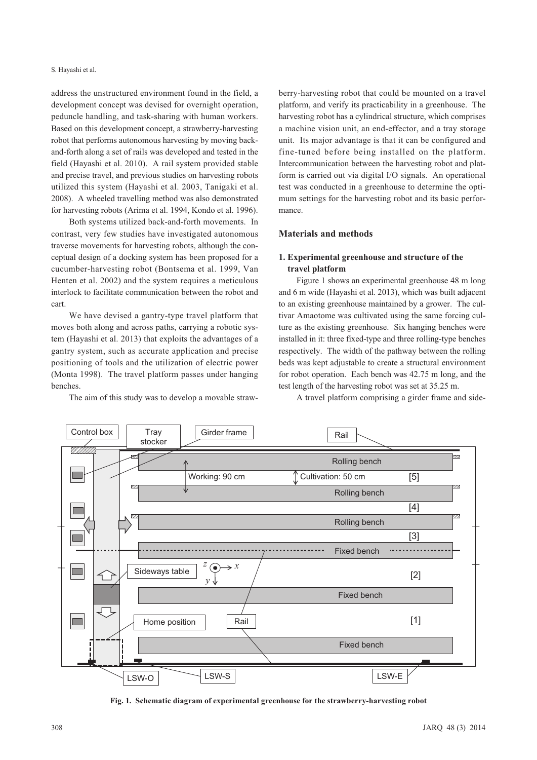address the unstructured environment found in the field, a development concept was devised for overnight operation, peduncle handling, and task-sharing with human workers. Based on this development concept, a strawberry-harvesting robot that performs autonomous harvesting by moving backand-forth along a set of rails was developed and tested in the field (Hayashi et al. 2010). A rail system provided stable and precise travel, and previous studies on harvesting robots utilized this system (Hayashi et al. 2003, Tanigaki et al. 2008). A wheeled travelling method was also demonstrated for harvesting robots (Arima et al. 1994, Kondo et al. 1996).

Both systems utilized back-and-forth movements. In contrast, very few studies have investigated autonomous traverse movements for harvesting robots, although the conceptual design of a docking system has been proposed for a cucumber-harvesting robot (Bontsema et al. 1999, Van Henten et al. 2002) and the system requires a meticulous interlock to facilitate communication between the robot and cart.

We have devised a gantry-type travel platform that moves both along and across paths, carrying a robotic system (Hayashi et al. 2013) that exploits the advantages of a gantry system, such as accurate application and precise positioning of tools and the utilization of electric power (Monta 1998). The travel platform passes under hanging benches.

The aim of this study was to develop a movable straw-

berry-harvesting robot that could be mounted on a travel platform, and verify its practicability in a greenhouse. The harvesting robot has a cylindrical structure, which comprises a machine vision unit, an end-effector, and a tray storage unit. Its major advantage is that it can be configured and fine-tuned before being installed on the platform. Intercommunication between the harvesting robot and platform is carried out via digital I/O signals. An operational test was conducted in a greenhouse to determine the optimum settings for the harvesting robot and its basic performance.

# **Materials and methods**

# **1. Experimental greenhouse and structure of the travel platform**

Figure 1 shows an experimental greenhouse 48 m long and 6 m wide (Hayashi et al. 2013), which was built adjacent to an existing greenhouse maintained by a grower. The cultivar Amaotome was cultivated using the same forcing culture as the existing greenhouse. Six hanging benches were installed in it: three fixed-type and three rolling-type benches respectively. The width of the pathway between the rolling beds was kept adjustable to create a structural environment for robot operation. Each bench was 42.75 m long, and the test length of the harvesting robot was set at 35.25 m.

A travel platform comprising a girder frame and side-



**Fig. 1. Schematic diagram of experimental greenhouse for the strawberry-harvesting robot**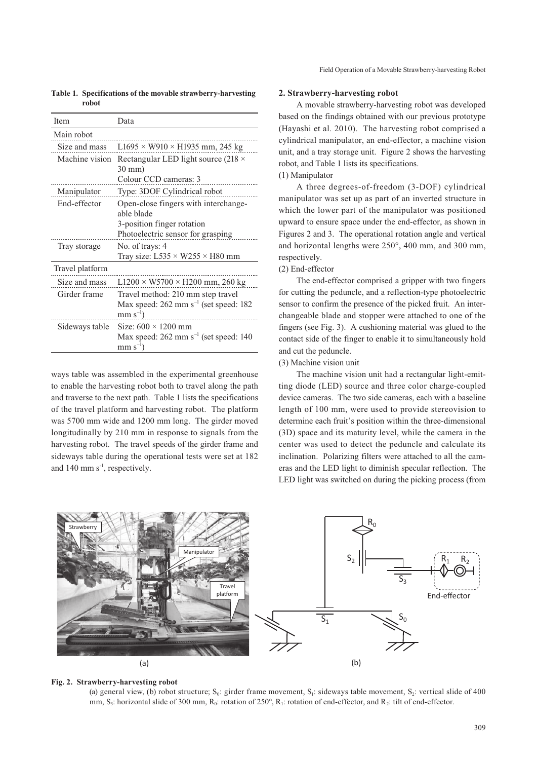| <b>Item</b>     | Data                                                                                                     |  |  |  |  |  |
|-----------------|----------------------------------------------------------------------------------------------------------|--|--|--|--|--|
| Main robot      |                                                                                                          |  |  |  |  |  |
| Size and mass   | $L1695 \times W910 \times H1935$ mm, 245 kg                                                              |  |  |  |  |  |
| Machine vision  | Rectangular LED light source (218 $\times$<br>$30 \text{ mm}$                                            |  |  |  |  |  |
|                 | Colour CCD cameras: 3                                                                                    |  |  |  |  |  |
| Manipulator     | Type: 3DOF Cylindrical robot                                                                             |  |  |  |  |  |
| End-effector    | Open-close fingers with interchange-<br>able blade                                                       |  |  |  |  |  |
|                 | 3-position finger rotation                                                                               |  |  |  |  |  |
|                 | Photoelectric sensor for grasping                                                                        |  |  |  |  |  |
| Tray storage    | No. of trays: 4<br>Tray size: $L535 \times W255 \times H80$ mm                                           |  |  |  |  |  |
| Travel platform |                                                                                                          |  |  |  |  |  |
| Size and mass   | $L1200 \times W5700 \times H200$ mm, 260 kg                                                              |  |  |  |  |  |
| Girder frame    | Travel method: 210 mm step travel<br>Max speed: $262 \text{ mm s}^{-1}$ (set speed: 182<br>$mm s^{-1}$ ) |  |  |  |  |  |
| Sideways table  | Size: $600 \times 1200$ mm<br>Max speed: $262$ mm s <sup>-1</sup> (set speed: 140)<br>$mm s^{-1}$        |  |  |  |  |  |

**Table 1. Specifications of the movable strawberry-harvesting robot**

ways table was assembled in the experimental greenhouse to enable the harvesting robot both to travel along the path and traverse to the next path. Table 1 lists the specifications of the travel platform and harvesting robot. The platform was 5700 mm wide and 1200 mm long. The girder moved longitudinally by 210 mm in response to signals from the harvesting robot. The travel speeds of the girder frame and sideways table during the operational tests were set at 182 and 140 mm  $s^{-1}$ , respectively.

#### **2. Strawberry-harvesting robot**

A movable strawberry-harvesting robot was developed based on the findings obtained with our previous prototype (Hayashi et al. 2010). The harvesting robot comprised a cylindrical manipulator, an end-effector, a machine vision unit, and a tray storage unit. Figure 2 shows the harvesting robot, and Table 1 lists its specifications.

# (1) Manipulator

A three degrees-of-freedom (3-DOF) cylindrical manipulator was set up as part of an inverted structure in which the lower part of the manipulator was positioned upward to ensure space under the end-effector, as shown in Figures 2 and 3. The operational rotation angle and vertical and horizontal lengths were 250°, 400 mm, and 300 mm, respectively.

## (2) End-effector

The end-effector comprised a gripper with two fingers for cutting the peduncle, and a reflection-type photoelectric sensor to confirm the presence of the picked fruit. An interchangeable blade and stopper were attached to one of the fingers (see Fig. 3). A cushioning material was glued to the contact side of the finger to enable it to simultaneously hold and cut the peduncle.

### (3) Machine vision unit

The machine vision unit had a rectangular light-emitting diode (LED) source and three color charge-coupled device cameras. The two side cameras, each with a baseline length of 100 mm, were used to provide stereovision to determine each fruit's position within the three-dimensional (3D) space and its maturity level, while the camera in the center was used to detect the peduncle and calculate its inclination. Polarizing filters were attached to all the cameras and the LED light to diminish specular reflection. The LED light was switched on during the picking process (from



#### **Fig. 2. Strawberry-harvesting robot**

(a) general view, (b) robot structure;  $S_0$ : girder frame movement,  $S_1$ : sideways table movement,  $S_2$ : vertical slide of 400 mm, S<sub>3</sub>: horizontal slide of 300 mm, R<sub>0</sub>: rotation of 250°, R<sub>1</sub>: rotation of end-effector, and R<sub>2</sub>: tilt of end-effector.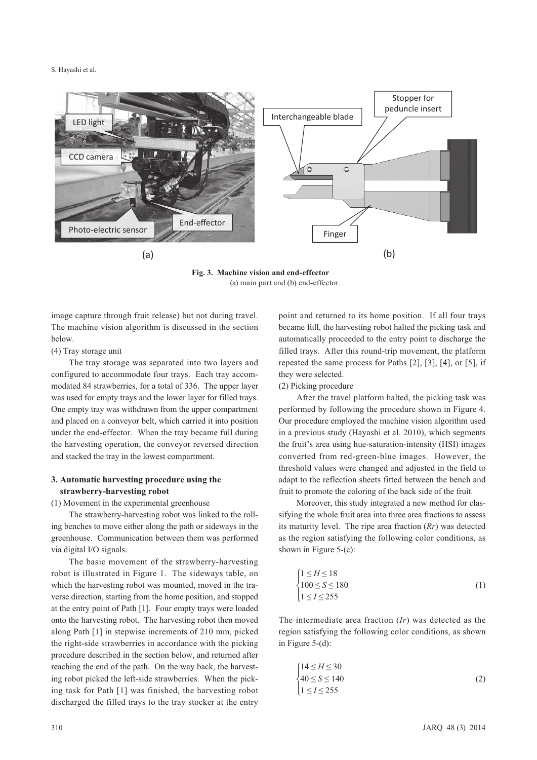

**Fig. 3. Machine vision and end-effector** (a) main part and (b) end-effector.

image capture through fruit release) but not during travel. The machine vision algorithm is discussed in the section below.

### (4) Tray storage unit

The tray storage was separated into two layers and configured to accommodate four trays. Each tray accommodated 84 strawberries, for a total of 336. The upper layer was used for empty trays and the lower layer for filled trays. One empty tray was withdrawn from the upper compartment and placed on a conveyor belt, which carried it into position under the end-effector. When the tray became full during the harvesting operation, the conveyor reversed direction and stacked the tray in the lowest compartment.

# **3. Automatic harvesting procedure using the strawberry-harvesting robot**

(1) Movement in the experimental greenhouse

The strawberry-harvesting robot was linked to the rolling benches to move either along the path or sideways in the greenhouse. Communication between them was performed via digital I/O signals.

The basic movement of the strawberry-harvesting robot is illustrated in Figure 1. The sideways table, on which the harvesting robot was mounted, moved in the traverse direction, starting from the home position, and stopped at the entry point of Path [1]. Four empty trays were loaded onto the harvesting robot. The harvesting robot then moved along Path [1] in stepwise increments of 210 mm, picked the right-side strawberries in accordance with the picking procedure described in the section below, and returned after reaching the end of the path. On the way back, the harvesting robot picked the left-side strawberries. When the picking task for Path [1] was finished, the harvesting robot discharged the filled trays to the tray stocker at the entry

point and returned to its home position. If all four trays became full, the harvesting robot halted the picking task and automatically proceeded to the entry point to discharge the filled trays. After this round-trip movement, the platform repeated the same process for Paths [2], [3], [4], or [5], if they were selected.

#### (2) Picking procedure

After the travel platform halted, the picking task was performed by following the procedure shown in Figure 4. Our procedure employed the machine vision algorithm used in a previous study (Hayashi et al. 2010), which segments the fruit's area using hue-saturation-intensity (HSI) images converted from red-green-blue images. However, the threshold values were changed and adjusted in the field to adapt to the reflection sheets fitted between the bench and fruit to promote the coloring of the back side of the fruit.

Moreover, this study integrated a new method for classifying the whole fruit area into three area fractions to assess its maturity level. The ripe area fraction (*Rr*) was detected as the region satisfying the following color conditions, as shown in Figure 5-(c):

$$
\begin{cases}\n1 \leq H \leq 18 \\
100 \leq S \leq 180 \\
1 \leq I \leq 255\n\end{cases}
$$
\n(1)

The intermediate area fraction (*Ir*) was detected as the region satisfying the following color conditions, as shown in Figure 5-(d):

$$
\begin{cases}\n14 \leq H \leq 30 \\
40 \leq S \leq 140 \\
1 \leq I \leq 255\n\end{cases}
$$
\n(2)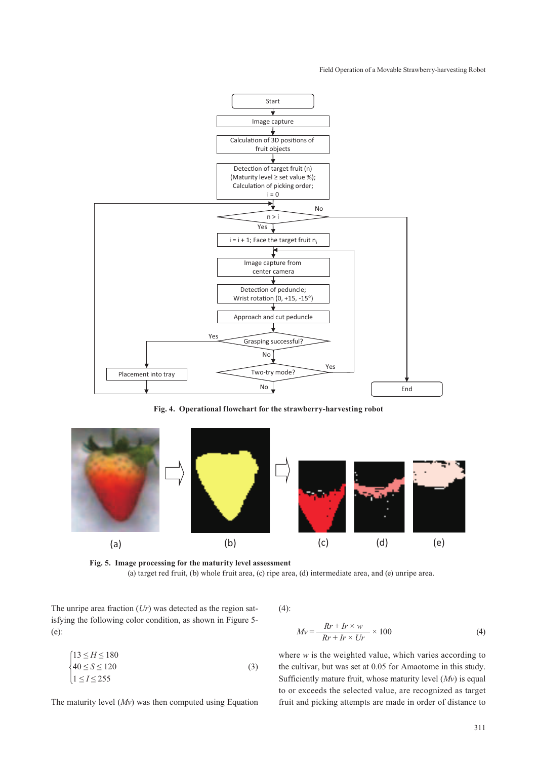#### Field Operation of a Movable Strawberry-harvesting Robot



**Fig. 4. Operational flowchart for the strawberry-harvesting robot**



**Fig. 5. Image processing for the maturity level assessment** (a) target red fruit, (b) whole fruit area, (c) ripe area, (d) intermediate area, and (e) unripe area.

The unripe area fraction (*Ur*) was detected as the region satisfying the following color condition, as shown in Figure 5- (e):

$$
\begin{cases}\n13 \le H \le 180 \\
40 \le S \le 120 \\
1 \le I \le 255\n\end{cases}
$$
\n(3)

The maturity level (*Mv*) was then computed using Equation

 $(4)$ :

$$
Mv = \frac{Rr + Ir \times w}{Rr + Ir \times Ur} \times 100
$$
 (4)

where *w* is the weighted value, which varies according to the cultivar, but was set at 0.05 for Amaotome in this study. Sufficiently mature fruit, whose maturity level (*Mv*) is equal to or exceeds the selected value, are recognized as target fruit and picking attempts are made in order of distance to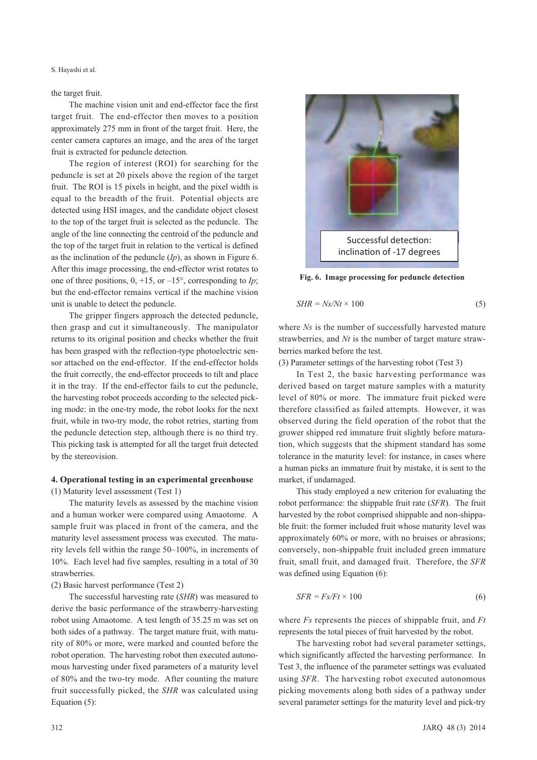# the target fruit.

The machine vision unit and end-effector face the first target fruit. The end-effector then moves to a position approximately 275 mm in front of the target fruit. Here, the center camera captures an image, and the area of the target fruit is extracted for peduncle detection.

The region of interest (ROI) for searching for the peduncle is set at 20 pixels above the region of the target fruit. The ROI is 15 pixels in height, and the pixel width is equal to the breadth of the fruit. Potential objects are detected using HSI images, and the candidate object closest to the top of the target fruit is selected as the peduncle. The angle of the line connecting the centroid of the peduncle and the top of the target fruit in relation to the vertical is defined as the inclination of the peduncle (*Ip*), as shown in Figure 6. After this image processing, the end-effector wrist rotates to one of three positions,  $0, +15$ , or  $-15^{\circ}$ , corresponding to *Ip*; but the end-effector remains vertical if the machine vision unit is unable to detect the peduncle.

The gripper fingers approach the detected peduncle, then grasp and cut it simultaneously. The manipulator returns to its original position and checks whether the fruit has been grasped with the reflection-type photoelectric sensor attached on the end-effector. If the end-effector holds the fruit correctly, the end-effector proceeds to tilt and place it in the tray. If the end-effector fails to cut the peduncle, the harvesting robot proceeds according to the selected picking mode: in the one-try mode, the robot looks for the next fruit, while in two-try mode, the robot retries, starting from the peduncle detection step, although there is no third try. This picking task is attempted for all the target fruit detected by the stereovision.

# **4. Operational testing in an experimental greenhouse** (1) Maturity level assessment (Test 1)

The maturity levels as assessed by the machine vision and a human worker were compared using Amaotome. A sample fruit was placed in front of the camera, and the maturity level assessment process was executed. The maturity levels fell within the range 50–100%, in increments of 10%. Each level had five samples, resulting in a total of 30 strawberries.

### (2) Basic harvest performance (Test 2)

The successful harvesting rate (*SHR*) was measured to derive the basic performance of the strawberry-harvesting robot using Amaotome. A test length of 35.25 m was set on both sides of a pathway. The target mature fruit, with maturity of 80% or more, were marked and counted before the robot operation. The harvesting robot then executed autonomous harvesting under fixed parameters of a maturity level of 80% and the two-try mode. After counting the mature fruit successfully picked, the *SHR* was calculated using Equation (5):



**Fig. 6. Image processing for peduncle detection**

$$
SHR = Ns/Nt \times 100\tag{5}
$$

where *Ns* is the number of successfully harvested mature strawberries, and *Nt* is the number of target mature strawberries marked before the test.

(3) Parameter settings of the harvesting robot (Test 3)

In Test 2, the basic harvesting performance was derived based on target mature samples with a maturity level of 80% or more. The immature fruit picked were therefore classified as failed attempts. However, it was observed during the field operation of the robot that the grower shipped red immature fruit slightly before maturation, which suggests that the shipment standard has some tolerance in the maturity level: for instance, in cases where a human picks an immature fruit by mistake, it is sent to the market, if undamaged.

This study employed a new criterion for evaluating the robot performance: the shippable fruit rate (*SFR*). The fruit harvested by the robot comprised shippable and non-shippable fruit: the former included fruit whose maturity level was approximately 60% or more, with no bruises or abrasions; conversely, non-shippable fruit included green immature fruit, small fruit, and damaged fruit. Therefore, the *SFR* was defined using Equation (6):

$$
SFR = Fs/Ft \times 100\tag{6}
$$

where *Fs* represents the pieces of shippable fruit, and *Ft* represents the total pieces of fruit harvested by the robot.

The harvesting robot had several parameter settings, which significantly affected the harvesting performance. In Test 3, the influence of the parameter settings was evaluated using *SFR*. The harvesting robot executed autonomous picking movements along both sides of a pathway under several parameter settings for the maturity level and pick-try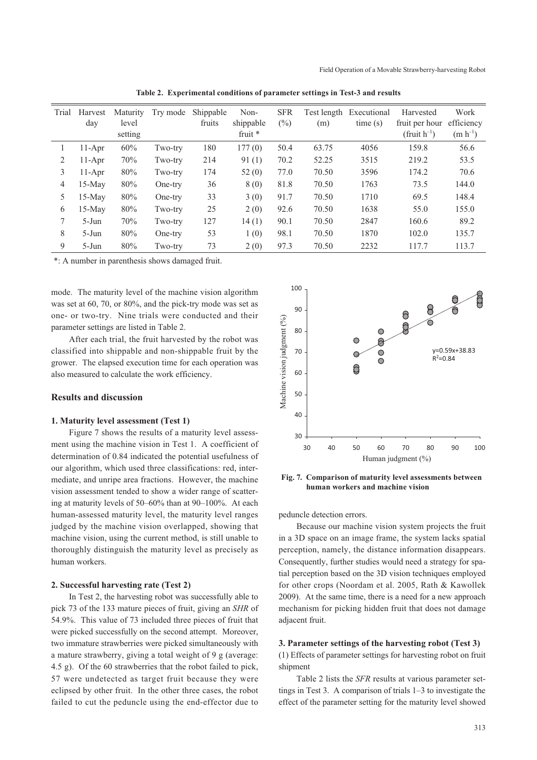| Trial | Harvest<br>day | Maturity<br>level<br>setting | Try mode | Shippable<br>fruits | Non-<br>shippable<br>fruit $*$ | <b>SFR</b><br>$\binom{0}{0}$ | (m)   | Test length Executional<br>time(s) | Harvested<br>fruit per hour<br>(fruit $h^{-1}$ ) | Work<br>efficiency<br>$(m h^{-1})$ |
|-------|----------------|------------------------------|----------|---------------------|--------------------------------|------------------------------|-------|------------------------------------|--------------------------------------------------|------------------------------------|
| L     | $11-Apr$       | 60%                          | Two-try  | 180                 | 177(0)                         | 50.4                         | 63.75 | 4056                               | 159.8                                            | 56.6                               |
| 2     | $11-Apr$       | 70%                          | Two-try  | 214                 | 91(1)                          | 70.2                         | 52.25 | 3515                               | 219.2                                            | 53.5                               |
| 3     | $11-Apr$       | 80%                          | Two-try  | 174                 | 52(0)                          | 77.0                         | 70.50 | 3596                               | 174.2                                            | 70.6                               |
| 4     | $15-Mav$       | 80%                          | One-try  | 36                  | 8(0)                           | 81.8                         | 70.50 | 1763                               | 73.5                                             | 144.0                              |
| 5.    | $15-Mav$       | 80%                          | One-try  | 33                  | 3(0)                           | 91.7                         | 70.50 | 1710                               | 69.5                                             | 148.4                              |
| 6     | $15-May$       | 80%                          | Two-try  | 25                  | 2(0)                           | 92.6                         | 70.50 | 1638                               | 55.0                                             | 155.0                              |
|       | $5-Jun$        | 70%                          | Two-try  | 127                 | 14(1)                          | 90.1                         | 70.50 | 2847                               | 160.6                                            | 89.2                               |
| 8     | $5-Jun$        | 80%                          | One-try  | 53                  | 1(0)                           | 98.1                         | 70.50 | 1870                               | 102.0                                            | 135.7                              |
| 9     | $5-J$ un       | 80%                          | Two-try  | 73                  | 2(0)                           | 97.3                         | 70.50 | 2232                               | 117.7                                            | 113.7                              |

**Table 2. Experimental conditions of parameter settings in Test-3 and results** 

\*: A number in parenthesis shows damaged fruit.

mode. The maturity level of the machine vision algorithm was set at 60, 70, or 80%, and the pick-try mode was set as one- or two-try. Nine trials were conducted and their parameter settings are listed in Table 2.

After each trial, the fruit harvested by the robot was classified into shippable and non-shippable fruit by the grower. The elapsed execution time for each operation was also measured to calculate the work efficiency.

#### **Results and discussion**

#### **1. Maturity level assessment (Test 1)**

Figure 7 shows the results of a maturity level assessment using the machine vision in Test 1. A coefficient of determination of 0.84 indicated the potential usefulness of our algorithm, which used three classifications: red, intermediate, and unripe area fractions. However, the machine vision assessment tended to show a wider range of scattering at maturity levels of 50–60% than at 90–100%. At each human-assessed maturity level, the maturity level ranges judged by the machine vision overlapped, showing that machine vision, using the current method, is still unable to thoroughly distinguish the maturity level as precisely as human workers.

#### **2. Successful harvesting rate (Test 2)**

In Test 2, the harvesting robot was successfully able to pick 73 of the 133 mature pieces of fruit, giving an *SHR* of 54.9%. This value of 73 included three pieces of fruit that were picked successfully on the second attempt. Moreover, two immature strawberries were picked simultaneously with a mature strawberry, giving a total weight of 9 g (average: 4.5 g). Of the 60 strawberries that the robot failed to pick, 57 were undetected as target fruit because they were eclipsed by other fruit. In the other three cases, the robot failed to cut the peduncle using the end-effector due to



**Fig. 7. Comparison of maturity level assessments between human workers and machine vision**

peduncle detection errors.

Because our machine vision system projects the fruit in a 3D space on an image frame, the system lacks spatial perception, namely, the distance information disappears. Consequently, further studies would need a strategy for spatial perception based on the 3D vision techniques employed for other crops (Noordam et al. 2005, Rath & Kawollek 2009). At the same time, there is a need for a new approach mechanism for picking hidden fruit that does not damage adjacent fruit.

#### **3. Parameter settings of the harvesting robot (Test 3)**

(1) Effects of parameter settings for harvesting robot on fruit shipment

Table 2 lists the *SFR* results at various parameter settings in Test 3. A comparison of trials 1–3 to investigate the effect of the parameter setting for the maturity level showed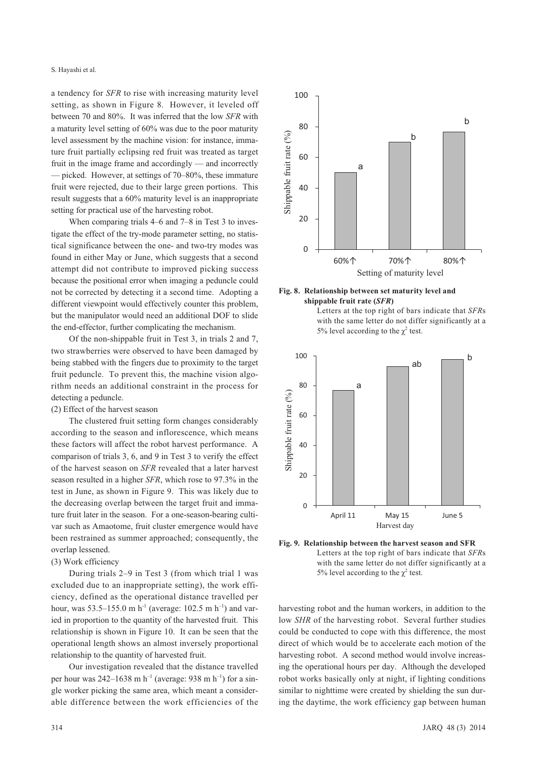a tendency for *SFR* to rise with increasing maturity level setting, as shown in Figure 8. However, it leveled off between 70 and 80%. It was inferred that the low *SFR* with a maturity level setting of 60% was due to the poor maturity level assessment by the machine vision: for instance, immature fruit partially eclipsing red fruit was treated as target fruit in the image frame and accordingly — and incorrectly — picked. However, at settings of 70–80%, these immature fruit were rejected, due to their large green portions. This result suggests that a 60% maturity level is an inappropriate setting for practical use of the harvesting robot.

When comparing trials 4–6 and 7–8 in Test 3 to investigate the effect of the try-mode parameter setting, no statistical significance between the one- and two-try modes was found in either May or June, which suggests that a second attempt did not contribute to improved picking success because the positional error when imaging a peduncle could not be corrected by detecting it a second time. Adopting a different viewpoint would effectively counter this problem, but the manipulator would need an additional DOF to slide the end-effector, further complicating the mechanism.

Of the non-shippable fruit in Test 3, in trials 2 and 7, two strawberries were observed to have been damaged by being stabbed with the fingers due to proximity to the target fruit peduncle. To prevent this, the machine vision algorithm needs an additional constraint in the process for detecting a peduncle.

(2) Effect of the harvest season

The clustered fruit setting form changes considerably according to the season and inflorescence, which means these factors will affect the robot harvest performance. A comparison of trials 3, 6, and 9 in Test 3 to verify the effect of the harvest season on *SFR* revealed that a later harvest season resulted in a higher *SFR*, which rose to 97.3% in the test in June, as shown in Figure 9. This was likely due to the decreasing overlap between the target fruit and immature fruit later in the season. For a one-season-bearing cultivar such as Amaotome, fruit cluster emergence would have been restrained as summer approached; consequently, the overlap lessened.

#### (3) Work efficiency

During trials 2–9 in Test 3 (from which trial 1 was excluded due to an inappropriate setting), the work efficiency, defined as the operational distance travelled per hour, was  $53.5-155.0$  m h<sup>-1</sup> (average: 102.5 m h<sup>-1</sup>) and varied in proportion to the quantity of the harvested fruit. This relationship is shown in Figure 10. It can be seen that the operational length shows an almost inversely proportional relationship to the quantity of harvested fruit.

Our investigation revealed that the distance travelled per hour was  $242-1638$  m h<sup>-1</sup> (average: 938 m h<sup>-1</sup>) for a single worker picking the same area, which meant a considerable difference between the work efficiencies of the









**Fig. 9. Relationship between the harvest season and SFR** Letters at the top right of bars indicate that *SFR*s with the same letter do not differ significantly at a 5% level according to the  $\chi^2$  test.

harvesting robot and the human workers, in addition to the low *SHR* of the harvesting robot. Several further studies could be conducted to cope with this difference, the most direct of which would be to accelerate each motion of the harvesting robot. A second method would involve increasing the operational hours per day. Although the developed robot works basically only at night, if lighting conditions similar to nighttime were created by shielding the sun during the daytime, the work efficiency gap between human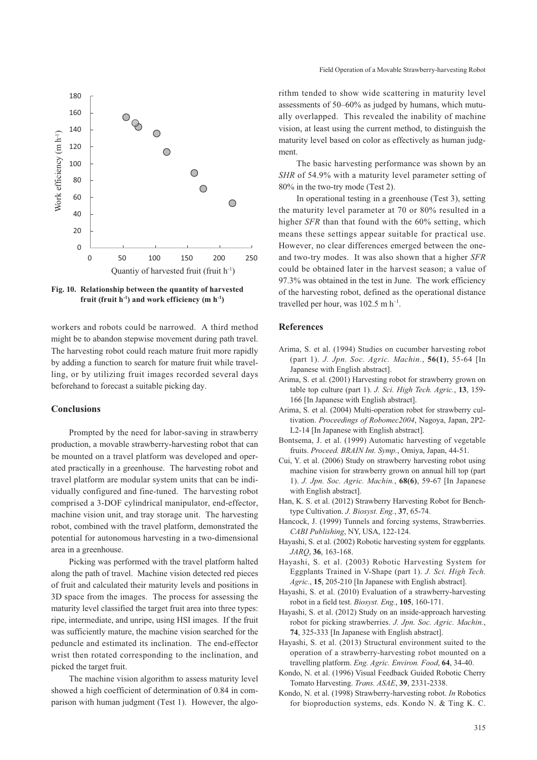

**Fig. 10. Relationship between the quantity of harvested fruit (fruit h-1) and work efficiency (m h-1)**

workers and robots could be narrowed. A third method might be to abandon stepwise movement during path travel. The harvesting robot could reach mature fruit more rapidly by adding a function to search for mature fruit while travelling, or by utilizing fruit images recorded several days beforehand to forecast a suitable picking day.

# **Conclusions**

Prompted by the need for labor-saving in strawberry production, a movable strawberry-harvesting robot that can be mounted on a travel platform was developed and operated practically in a greenhouse. The harvesting robot and travel platform are modular system units that can be individually configured and fine-tuned. The harvesting robot comprised a 3-DOF cylindrical manipulator, end-effector, machine vision unit, and tray storage unit. The harvesting robot, combined with the travel platform, demonstrated the potential for autonomous harvesting in a two-dimensional area in a greenhouse.

Picking was performed with the travel platform halted along the path of travel. Machine vision detected red pieces of fruit and calculated their maturity levels and positions in 3D space from the images. The process for assessing the maturity level classified the target fruit area into three types: ripe, intermediate, and unripe, using HSI images. If the fruit was sufficiently mature, the machine vision searched for the peduncle and estimated its inclination. The end-effector wrist then rotated corresponding to the inclination, and picked the target fruit.

The machine vision algorithm to assess maturity level showed a high coefficient of determination of 0.84 in comparison with human judgment (Test 1). However, the algo-

rithm tended to show wide scattering in maturity level assessments of 50–60% as judged by humans, which mutually overlapped. This revealed the inability of machine vision, at least using the current method, to distinguish the maturity level based on color as effectively as human judgment.

The basic harvesting performance was shown by an *SHR* of 54.9% with a maturity level parameter setting of 80% in the two-try mode (Test 2).

In operational testing in a greenhouse (Test 3), setting the maturity level parameter at 70 or 80% resulted in a higher *SFR* than that found with the 60% setting, which means these settings appear suitable for practical use. However, no clear differences emerged between the oneand two-try modes. It was also shown that a higher *SFR* could be obtained later in the harvest season; a value of 97.3% was obtained in the test in June. The work efficiency of the harvesting robot, defined as the operational distance travelled per hour, was  $102.5$  m  $h^{-1}$ .

# **References**

- Arima, S. et al. (1994) Studies on cucumber harvesting robot (part 1). *J. Jpn. Soc. Agric. Machin.*, **56(1)**, 55-64 [In Japanese with English abstract].
- Arima, S. et al. (2001) Harvesting robot for strawberry grown on table top culture (part 1). *J. Sci. High Tech. Agric.*, **13**, 159- 166 [In Japanese with English abstract].
- Arima, S. et al. (2004) Multi-operation robot for strawberry cultivation. *Proceedings of Robomec2004*, Nagoya, Japan, 2P2- L2-14 [In Japanese with English abstract].
- Bontsema, J. et al. (1999) Automatic harvesting of vegetable fruits. *Proceed. BRAIN Int. Symp.*, Omiya, Japan, 44-51.
- Cui, Y. et al. (2006) Study on strawberry harvesting robot using machine vision for strawberry grown on annual hill top (part 1). *J. Jpn. Soc. Agric. Machin.*, **68(6)**, 59-67 [In Japanese with English abstract].
- Han, K. S. et al. (2012) Strawberry Harvesting Robot for Benchtype Cultivation. *J. Biosyst. Eng.*, **37**, 65-74.
- Hancock, J. (1999) Tunnels and forcing systems, Strawberries. *CABI Publishing*, NY, USA, 122-124.
- Hayashi, S. et al. (2002) Robotic harvesting system for eggplants. *JARQ*, **36**, 163-168.
- Hayashi, S. et al. (2003) Robotic Harvesting System for Eggplants Trained in V-Shape (part 1). *J. Sci. High Tech. Agric.*, **15**, 205-210 [In Japanese with English abstract].
- Hayashi, S. et al. (2010) Evaluation of a strawberry-harvesting robot in a field test. *Biosyst. Eng.*, **105**, 160-171.
- Hayashi, S. et al. (2012) Study on an inside-approach harvesting robot for picking strawberries. *J. Jpn. Soc. Agric. Machin.*, **74**, 325-333 [In Japanese with English abstract].
- Hayashi, S. et al. (2013) Structural environment suited to the operation of a strawberry-harvesting robot mounted on a travelling platform. *Eng. Agric. Environ. Food*, **64**, 34-40.
- Kondo, N. et al. (1996) Visual Feedback Guided Robotic Cherry Tomato Harvesting. *Trans. ASAE*, **39**, 2331-2338.
- Kondo, N. et al. (1998) Strawberry-harvesting robot. *In* Robotics for bioproduction systems, eds. Kondo N. & Ting K. C.